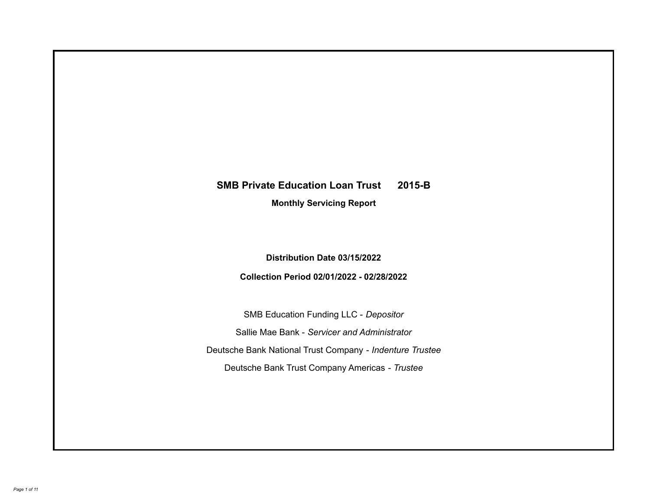# **SMB Private Education Loan Trust 2015-B**

**Monthly Servicing Report**

**Distribution Date 03/15/2022**

**Collection Period 02/01/2022 - 02/28/2022**

SMB Education Funding LLC - *Depositor* Sallie Mae Bank - *Servicer and Administrator* Deutsche Bank National Trust Company - *Indenture Trustee* Deutsche Bank Trust Company Americas - *Trustee*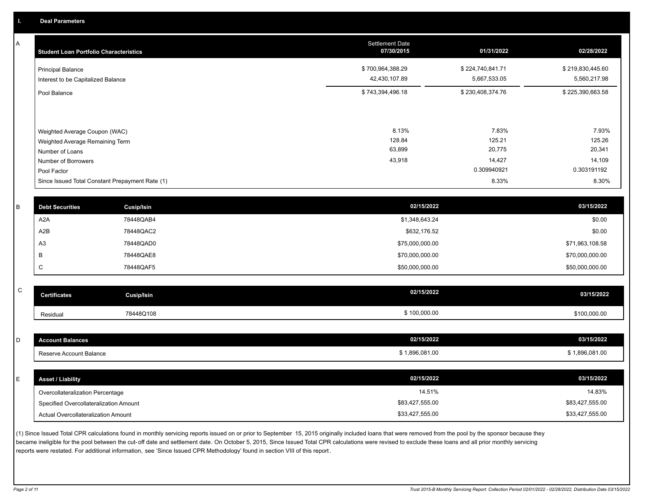A

| <b>Student Loan Portfolio Characteristics</b>                                                              | <b>Settlement Date</b><br>07/30/2015 | 01/31/2022                          | 02/28/2022                          |
|------------------------------------------------------------------------------------------------------------|--------------------------------------|-------------------------------------|-------------------------------------|
| Principal Balance<br>Interest to be Capitalized Balance                                                    | \$700,964,388.29<br>42,430,107.89    | \$224,740,841.71<br>5,667,533.05    | \$219,830,445.60<br>5,560,217.98    |
| Pool Balance                                                                                               | \$743,394,496.18                     | \$230,408,374.76                    | \$225,390,663.58                    |
| Weighted Average Coupon (WAC)<br>Weighted Average Remaining Term<br>Number of Loans<br>Number of Borrowers | 8.13%<br>128.84<br>63,899<br>43,918  | 7.83%<br>125.21<br>20,775<br>14,427 | 7.93%<br>125.26<br>20,341<br>14,109 |
| Pool Factor                                                                                                |                                      | 0.309940921                         | 0.303191192                         |
| Since Issued Total Constant Prepayment Rate (1)                                                            |                                      | 8.33%                               | 8.30%                               |

| В | <b>Debt Securities</b> | <b>Cusip/Isin</b> | 02/15/2022      | 03/15/2022      |
|---|------------------------|-------------------|-----------------|-----------------|
|   | A <sub>2</sub> A       | 78448QAB4         | \$1,348,643.24  | \$0.00          |
|   | A2B                    | 78448QAC2         | \$632,176.52    | \$0.00          |
|   | A <sub>3</sub>         | 78448QAD0         | \$75,000,000.00 | \$71,963,108.58 |
|   |                        | 78448QAE8         | \$70,000,000.00 | \$70,000,000.00 |
|   |                        | 78448QAF5         | \$50,000,000.00 | \$50,000,000.00 |

| ۰<br>۰, |
|---------|
| ٦       |

| $\mathsf{C}$ |                         |                   |                |                |
|--------------|-------------------------|-------------------|----------------|----------------|
|              | <b>Certificates</b>     | <b>Cusip/Isin</b> | 02/15/2022     | 03/15/2022     |
|              | Residual                | 78448Q108         | \$100,000.00   | \$100,000.00   |
|              |                         |                   |                |                |
| D            | <b>Account Balances</b> |                   | 02/15/2022     | 03/15/2022     |
|              | Reserve Account Balance |                   | \$1,896,081.00 | \$1,896,081.00 |
|              |                         |                   |                |                |

| <b>Asset / Liability</b>               | 02/15/2022      | 03/15/2022      |
|----------------------------------------|-----------------|-----------------|
| Overcollateralization Percentage       | 14.51%          | 14.83%          |
| Specified Overcollateralization Amount | \$83,427,555.00 | \$83,427,555.00 |
| Actual Overcollateralization Amount    | \$33,427,555.00 | \$33,427,555.00 |

(1) Since Issued Total CPR calculations found in monthly servicing reports issued on or prior to September 15, 2015 originally included loans that were removed from the pool by the sponsor because they became ineligible for the pool between the cut-off date and settlement date. On October 5, 2015, Since Issued Total CPR calculations were revised to exclude these loans and all prior monthly servicing reports were restated. For additional information, see 'Since Issued CPR Methodology' found in section VIII of this report .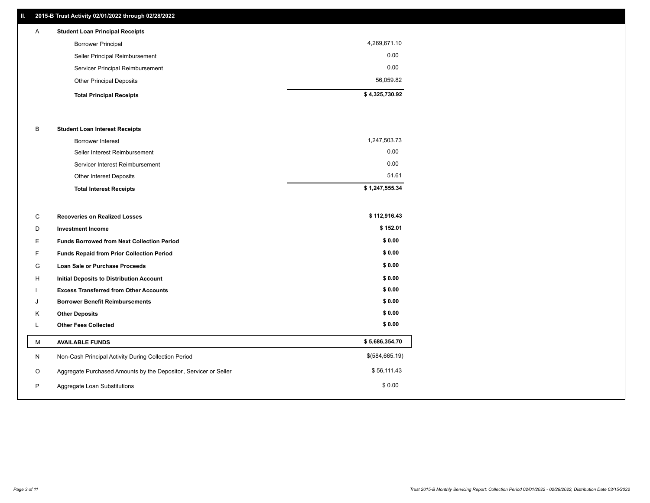# **II. 2015-B Trust Activity 02/01/2022 through 02/28/2022**

| A | <b>Student Loan Principal Receipts</b> |                |
|---|----------------------------------------|----------------|
|   | <b>Borrower Principal</b>              | 4,269,671.10   |
|   | Seller Principal Reimbursement         | 0.00           |
|   | Servicer Principal Reimbursement       | 0.00           |
|   | <b>Other Principal Deposits</b>        | 56,059.82      |
|   | <b>Total Principal Receipts</b>        | \$4,325,730.92 |

# B **Student Loan Interest Receipts**

| <b>Total Interest Receipts</b>  | \$1,247,555.34 |
|---------------------------------|----------------|
| Other Interest Deposits         | 51.61          |
| Servicer Interest Reimbursement | 0.00           |
| Seller Interest Reimbursement   | 0.00           |
| <b>Borrower Interest</b>        | 1,247,503.73   |

| C  | <b>Recoveries on Realized Losses</b>                             | \$112,916.43   |
|----|------------------------------------------------------------------|----------------|
| D  | <b>Investment Income</b>                                         | \$152.01       |
| E  | <b>Funds Borrowed from Next Collection Period</b>                | \$0.00         |
| F  | <b>Funds Repaid from Prior Collection Period</b>                 | \$0.00         |
| G  | <b>Loan Sale or Purchase Proceeds</b>                            | \$0.00         |
| H  | <b>Initial Deposits to Distribution Account</b>                  | \$0.00         |
|    | <b>Excess Transferred from Other Accounts</b>                    | \$0.00         |
| J  | <b>Borrower Benefit Reimbursements</b>                           | \$0.00         |
| K  | <b>Other Deposits</b>                                            | \$0.00         |
| L. | <b>Other Fees Collected</b>                                      | \$0.00         |
| M  | <b>AVAILABLE FUNDS</b>                                           | \$5,686,354.70 |
| N  | Non-Cash Principal Activity During Collection Period             | \$(584,665.19) |
| O  | Aggregate Purchased Amounts by the Depositor, Servicer or Seller | \$56,111.43    |
| P  | Aggregate Loan Substitutions                                     | \$0.00         |
|    |                                                                  |                |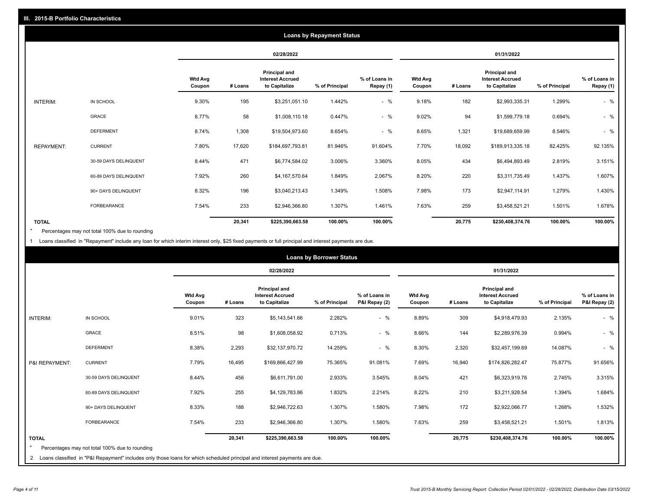|                   |                       |                          |         |                                                                  | <b>Loans by Repayment Status</b> |                            |                          |         |                                                           |                |                            |
|-------------------|-----------------------|--------------------------|---------|------------------------------------------------------------------|----------------------------------|----------------------------|--------------------------|---------|-----------------------------------------------------------|----------------|----------------------------|
|                   |                       |                          |         | 02/28/2022                                                       |                                  |                            |                          |         | 01/31/2022                                                |                |                            |
|                   |                       | <b>Wtd Avg</b><br>Coupon | # Loans | <b>Principal and</b><br><b>Interest Accrued</b><br>to Capitalize | % of Principal                   | % of Loans in<br>Repay (1) | <b>Wtd Avg</b><br>Coupon | # Loans | Principal and<br><b>Interest Accrued</b><br>to Capitalize | % of Principal | % of Loans in<br>Repay (1) |
| INTERIM:          | IN SCHOOL             | 9.30%                    | 195     | \$3,251,051.10                                                   | 1.442%                           | $-$ %                      | 9.18%                    | 182     | \$2,993,335.31                                            | 1.299%         | $-$ %                      |
|                   | GRACE                 | 8.77%                    | 58      | \$1,008,110.18                                                   | 0.447%                           | $-$ %                      | 9.02%                    | 94      | \$1,599,779.18                                            | 0.694%         | $-$ %                      |
|                   | <b>DEFERMENT</b>      | 8.74%                    | 1,308   | \$19,504,973.60                                                  | 8.654%                           | $-$ %                      | 8.65%                    | 1,321   | \$19,689,659.99                                           | 8.546%         | $-$ %                      |
| <b>REPAYMENT:</b> | <b>CURRENT</b>        | 7.80%                    | 17,620  | \$184,697,793.81                                                 | 81.946%                          | 91.604%                    | 7.70%                    | 18,092  | \$189,913,335.18                                          | 82.425%        | 92.135%                    |
|                   | 30-59 DAYS DELINQUENT | 8.44%                    | 471     | \$6,774,584.02                                                   | 3.006%                           | 3.360%                     | 8.05%                    | 434     | \$6,494,893.49                                            | 2.819%         | 3.151%                     |
|                   | 60-89 DAYS DELINQUENT | 7.92%                    | 260     | \$4,167,570.64                                                   | 1.849%                           | 2.067%                     | 8.20%                    | 220     | \$3,311,735.49                                            | 1.437%         | 1.607%                     |
|                   | 90+ DAYS DELINQUENT   | 8.32%                    | 196     | \$3,040,213.43                                                   | 1.349%                           | 1.508%                     | 7.98%                    | 173     | \$2,947,114.91                                            | 1.279%         | 1.430%                     |
|                   | <b>FORBEARANCE</b>    | 7.54%                    | 233     | \$2,946,366.80                                                   | 1.307%                           | 1.461%                     | 7.63%                    | 259     | \$3,458,521.21                                            | 1.501%         | 1.678%                     |
| <b>TOTAL</b>      |                       |                          | 20,341  | \$225,390,663.58                                                 | 100.00%                          | 100.00%                    |                          | 20,775  | \$230,408,374.76                                          | 100.00%        | 100.00%                    |

Percentages may not total 100% due to rounding \*

1 Loans classified in "Repayment" include any loan for which interim interest only, \$25 fixed payments or full principal and interest payments are due.

| <b>Loans by Borrower Status</b> |                                                                                                                            |                          |         |                                                                  |                |                                |                          |         |                                                           |                |                                |
|---------------------------------|----------------------------------------------------------------------------------------------------------------------------|--------------------------|---------|------------------------------------------------------------------|----------------|--------------------------------|--------------------------|---------|-----------------------------------------------------------|----------------|--------------------------------|
|                                 |                                                                                                                            |                          |         | 02/28/2022                                                       |                |                                | 01/31/2022               |         |                                                           |                |                                |
|                                 |                                                                                                                            | <b>Wtd Avg</b><br>Coupon | # Loans | <b>Principal and</b><br><b>Interest Accrued</b><br>to Capitalize | % of Principal | % of Loans in<br>P&I Repay (2) | <b>Wtd Avg</b><br>Coupon | # Loans | Principal and<br><b>Interest Accrued</b><br>to Capitalize | % of Principal | % of Loans in<br>P&I Repay (2) |
| INTERIM:                        | IN SCHOOL                                                                                                                  | 9.01%                    | 323     | \$5,143,541.66                                                   | 2.282%         | $-$ %                          | 8.89%                    | 309     | \$4,918,479.93                                            | 2.135%         | $-$ %                          |
|                                 | <b>GRACE</b>                                                                                                               | 8.51%                    | 98      | \$1,608,058.92                                                   | 0.713%         | $-$ %                          | 8.66%                    | 144     | \$2,289,976.39                                            | 0.994%         | $-$ %                          |
|                                 | <b>DEFERMENT</b>                                                                                                           | 8.38%                    | 2,293   | \$32,137,970.72                                                  | 14.259%        | $-$ %                          | 8.30%                    | 2,320   | \$32,457,199.69                                           | 14.087%        | $-$ %                          |
| P&I REPAYMENT:                  | <b>CURRENT</b>                                                                                                             | 7.79%                    | 16,495  | \$169,866,427.99                                                 | 75.365%        | 91.081%                        | 7.69%                    | 16,940  | \$174,826,282.47                                          | 75.877%        | 91.656%                        |
|                                 | 30-59 DAYS DELINQUENT                                                                                                      | 8.44%                    | 456     | \$6,611,791.00                                                   | 2.933%         | 3.545%                         | 8.04%                    | 421     | \$6,323,919.76                                            | 2.745%         | 3.315%                         |
|                                 | 60-89 DAYS DELINQUENT                                                                                                      | 7.92%                    | 255     | \$4,129,783.86                                                   | 1.832%         | 2.214%                         | 8.22%                    | 210     | \$3,211,928.54                                            | 1.394%         | 1.684%                         |
|                                 | 90+ DAYS DELINQUENT                                                                                                        | 8.33%                    | 188     | \$2,946,722.63                                                   | 1.307%         | 1.580%                         | 7.98%                    | 172     | \$2,922,066.77                                            | 1.268%         | 1.532%                         |
|                                 | FORBEARANCE                                                                                                                | 7.54%                    | 233     | \$2,946,366.80                                                   | 1.307%         | 1.580%                         | 7.63%                    | 259     | \$3,458,521.21                                            | 1.501%         | 1.813%                         |
| <b>TOTAL</b>                    | Percentages may not total 100% due to rounding                                                                             |                          | 20,341  | \$225,390,663.58                                                 | 100.00%        | 100.00%                        |                          | 20,775  | \$230,408,374.76                                          | 100.00%        | 100.00%                        |
| 2                               | Loans classified in "P&I Repayment" includes only those loans for which scheduled principal and interest payments are due. |                          |         |                                                                  |                |                                |                          |         |                                                           |                |                                |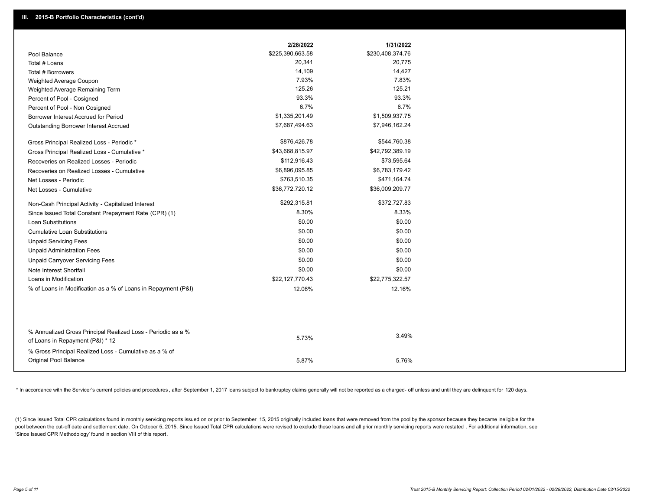|                                                                                                  | 2/28/2022        | 1/31/2022        |
|--------------------------------------------------------------------------------------------------|------------------|------------------|
| Pool Balance                                                                                     | \$225,390,663.58 | \$230,408,374.76 |
| Total # Loans                                                                                    | 20,341           | 20,775           |
| Total # Borrowers                                                                                | 14,109           | 14,427           |
| Weighted Average Coupon                                                                          | 7.93%            | 7.83%            |
| Weighted Average Remaining Term                                                                  | 125.26           | 125.21           |
| Percent of Pool - Cosigned                                                                       | 93.3%            | 93.3%            |
| Percent of Pool - Non Cosigned                                                                   | 6.7%             | 6.7%             |
| Borrower Interest Accrued for Period                                                             | \$1,335,201.49   | \$1,509,937.75   |
| Outstanding Borrower Interest Accrued                                                            | \$7,687,494.63   | \$7,946,162.24   |
| Gross Principal Realized Loss - Periodic *                                                       | \$876,426.78     | \$544,760.38     |
| Gross Principal Realized Loss - Cumulative *                                                     | \$43,668,815.97  | \$42,792,389.19  |
| Recoveries on Realized Losses - Periodic                                                         | \$112,916.43     | \$73,595.64      |
| Recoveries on Realized Losses - Cumulative                                                       | \$6,896,095.85   | \$6,783,179.42   |
| Net Losses - Periodic                                                                            | \$763,510.35     | \$471,164.74     |
| Net Losses - Cumulative                                                                          | \$36,772,720.12  | \$36,009,209.77  |
| Non-Cash Principal Activity - Capitalized Interest                                               | \$292,315.81     | \$372,727.83     |
| Since Issued Total Constant Prepayment Rate (CPR) (1)                                            | 8.30%            | 8.33%            |
| <b>Loan Substitutions</b>                                                                        | \$0.00           | \$0.00           |
| <b>Cumulative Loan Substitutions</b>                                                             | \$0.00           | \$0.00           |
| <b>Unpaid Servicing Fees</b>                                                                     | \$0.00           | \$0.00           |
| <b>Unpaid Administration Fees</b>                                                                | \$0.00           | \$0.00           |
| <b>Unpaid Carryover Servicing Fees</b>                                                           | \$0.00           | \$0.00           |
| Note Interest Shortfall                                                                          | \$0.00           | \$0.00           |
| Loans in Modification                                                                            | \$22,127,770.43  | \$22,775,322.57  |
| % of Loans in Modification as a % of Loans in Repayment (P&I)                                    | 12.06%           | 12.16%           |
|                                                                                                  |                  |                  |
|                                                                                                  |                  |                  |
| % Annualized Gross Principal Realized Loss - Periodic as a %<br>of Loans in Repayment (P&I) * 12 | 5.73%            | 3.49%            |
| % Gross Principal Realized Loss - Cumulative as a % of                                           |                  |                  |
| Original Pool Balance                                                                            | 5.87%            | 5.76%            |

\* In accordance with the Servicer's current policies and procedures, after September 1, 2017 loans subject to bankruptcy claims generally will not be reported as a charged- off unless and until they are delinquent for 120

(1) Since Issued Total CPR calculations found in monthly servicing reports issued on or prior to September 15, 2015 originally included loans that were removed from the pool by the sponsor because they became ineligible fo pool between the cut-off date and settlement date. On October 5, 2015, Since Issued Total CPR calculations were revised to exclude these loans and all prior monthly servicing reports were restated. For additional informati 'Since Issued CPR Methodology' found in section VIII of this report .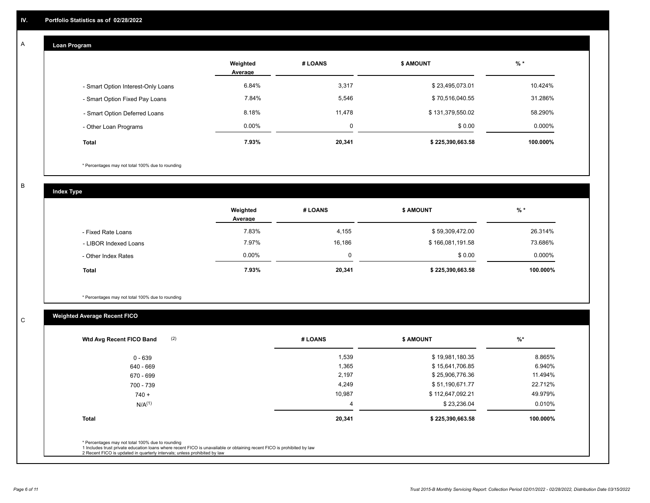#### **Loan Program**  A

|                                    | Weighted<br>Average | # LOANS | <b>\$ AMOUNT</b> | $%$ *    |
|------------------------------------|---------------------|---------|------------------|----------|
| - Smart Option Interest-Only Loans | 6.84%               | 3,317   | \$23,495,073.01  | 10.424%  |
| - Smart Option Fixed Pay Loans     | 7.84%               | 5,546   | \$70,516,040.55  | 31.286%  |
| - Smart Option Deferred Loans      | 8.18%               | 11,478  | \$131,379,550.02 | 58.290%  |
| - Other Loan Programs              | $0.00\%$            | 0       | \$0.00           | 0.000%   |
| <b>Total</b>                       | 7.93%               | 20,341  | \$225,390,663.58 | 100.000% |

\* Percentages may not total 100% due to rounding

B

C

**Index Type**

|                       | Weighted<br>Average | # LOANS | \$ AMOUNT        | % *       |
|-----------------------|---------------------|---------|------------------|-----------|
| - Fixed Rate Loans    | 7.83%               | 4,155   | \$59,309,472.00  | 26.314%   |
| - LIBOR Indexed Loans | 7.97%               | 16,186  | \$166,081,191.58 | 73.686%   |
| - Other Index Rates   | $0.00\%$            | 0       | \$0.00           | $0.000\%$ |
| <b>Total</b>          | 7.93%               | 20,341  | \$225,390,663.58 | 100.000%  |

\* Percentages may not total 100% due to rounding

# **Weighted Average Recent FICO**

| (2)<br>Wtd Avg Recent FICO Band                                                                                                                                             | # LOANS | <b>\$ AMOUNT</b> | $\frac{9}{6}$ * |
|-----------------------------------------------------------------------------------------------------------------------------------------------------------------------------|---------|------------------|-----------------|
| $0 - 639$                                                                                                                                                                   | 1,539   | \$19,981,180.35  | 8.865%          |
| 640 - 669                                                                                                                                                                   | 1,365   | \$15,641,706.85  | 6.940%          |
| 670 - 699                                                                                                                                                                   | 2,197   | \$25,906,776.36  | 11.494%         |
| 700 - 739                                                                                                                                                                   | 4,249   | \$51,190,671.77  | 22.712%         |
| $740 +$                                                                                                                                                                     | 10,987  | \$112,647,092.21 | 49.979%         |
| $N/A^{(1)}$                                                                                                                                                                 | 4       | \$23,236.04      | 0.010%          |
| <b>Total</b>                                                                                                                                                                | 20,341  | \$225,390,663.58 | 100.000%        |
| * Percentages may not total 100% due to rounding<br>1 Includes trust private education loans where recent FICO is unavailable or obtaining recent FICO is prohibited by law |         |                  |                 |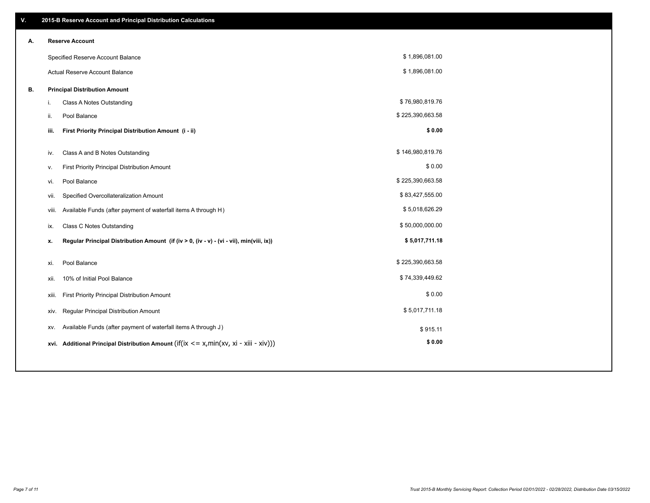| V. |      | 2015-B Reserve Account and Principal Distribution Calculations                                      |                  |  |
|----|------|-----------------------------------------------------------------------------------------------------|------------------|--|
| А. |      | <b>Reserve Account</b>                                                                              |                  |  |
|    |      | Specified Reserve Account Balance                                                                   | \$1,896,081.00   |  |
|    |      | Actual Reserve Account Balance                                                                      | \$1,896,081.00   |  |
| В. |      | <b>Principal Distribution Amount</b>                                                                |                  |  |
|    | i.   | Class A Notes Outstanding                                                                           | \$76,980,819.76  |  |
|    | ii.  | Pool Balance                                                                                        | \$225,390,663.58 |  |
|    | iii. | First Priority Principal Distribution Amount (i - ii)                                               | \$0.00           |  |
|    |      |                                                                                                     |                  |  |
|    | iv.  | Class A and B Notes Outstanding                                                                     | \$146,980,819.76 |  |
|    | v.   | First Priority Principal Distribution Amount                                                        | \$0.00           |  |
|    | vi.  | Pool Balance                                                                                        | \$225,390,663.58 |  |
|    |      | Specified Overcollateralization Amount<br>vii.                                                      | \$83,427,555.00  |  |
|    |      | Available Funds (after payment of waterfall items A through H)<br>viii.                             | \$5,018,626.29   |  |
|    | ix.  | <b>Class C Notes Outstanding</b>                                                                    | \$50,000,000.00  |  |
|    | x.   | Regular Principal Distribution Amount (if (iv > 0, (iv - v) - (vi - vii), min(viii, ix))            | \$5,017,711.18   |  |
|    |      |                                                                                                     |                  |  |
|    | xi.  | Pool Balance                                                                                        | \$225,390,663.58 |  |
|    | xii. | 10% of Initial Pool Balance                                                                         | \$74,339,449.62  |  |
|    |      | First Priority Principal Distribution Amount<br>xiii.                                               | \$0.00           |  |
|    |      | Regular Principal Distribution Amount<br>xiv.                                                       | \$5,017,711.18   |  |
|    |      | Available Funds (after payment of waterfall items A through J)<br>XV.                               | \$915.11         |  |
|    |      | xvi. Additional Principal Distribution Amount (if( $ix \le x$ , min( $xv$ , $xi$ - $xiii - xiv$ ))) | \$0.00           |  |
|    |      |                                                                                                     |                  |  |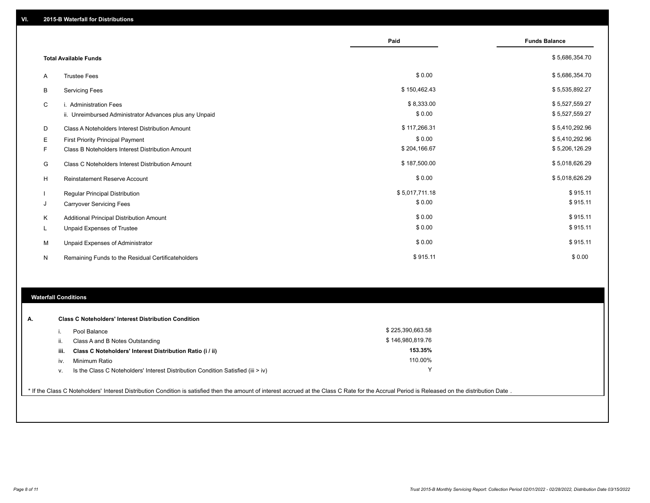|   |                                                         | Paid           | <b>Funds Balance</b> |
|---|---------------------------------------------------------|----------------|----------------------|
|   | <b>Total Available Funds</b>                            |                | \$5,686,354.70       |
| A | <b>Trustee Fees</b>                                     | \$0.00         | \$5,686,354.70       |
| В | <b>Servicing Fees</b>                                   | \$150,462.43   | \$5,535,892.27       |
| C | <b>Administration Fees</b>                              | \$8,333.00     | \$5,527,559.27       |
|   | ii. Unreimbursed Administrator Advances plus any Unpaid | \$0.00         | \$5,527,559.27       |
| D | Class A Noteholders Interest Distribution Amount        | \$117,266.31   | \$5,410,292.96       |
| Е | First Priority Principal Payment                        | \$0.00         | \$5,410,292.96       |
| F | Class B Noteholders Interest Distribution Amount        | \$204,166.67   | \$5,206,126.29       |
| G | Class C Noteholders Interest Distribution Amount        | \$187,500.00   | \$5,018,626.29       |
| Н | Reinstatement Reserve Account                           | \$0.00         | \$5,018,626.29       |
|   | Regular Principal Distribution                          | \$5,017,711.18 | \$915.11             |
| J | <b>Carryover Servicing Fees</b>                         | \$0.00         | \$915.11             |
| Κ | Additional Principal Distribution Amount                | \$0.00         | \$915.11             |
|   | Unpaid Expenses of Trustee                              | \$0.00         | \$915.11             |
| М | Unpaid Expenses of Administrator                        | \$0.00         | \$915.11             |
| N | Remaining Funds to the Residual Certificateholders      | \$915.11       | \$0.00               |

# **Waterfall Conditions**

| А. |      | <b>Class C Noteholders' Interest Distribution Condition</b>                      |                  |  |
|----|------|----------------------------------------------------------------------------------|------------------|--|
|    |      | Pool Balance                                                                     | \$225,390,663.58 |  |
|    | Ш.   | Class A and B Notes Outstanding                                                  | \$146,980,819.76 |  |
|    | iii. | Class C Noteholders' Interest Distribution Ratio (i / ii)                        | 153.35%          |  |
|    | IV.  | Minimum Ratio                                                                    | 110.00%          |  |
|    | v.   | Is the Class C Noteholders' Interest Distribution Condition Satisfied (iii > iv) | $\checkmark$     |  |
|    |      |                                                                                  |                  |  |

\* If the Class C Noteholders' Interest Distribution Condition is satisfied then the amount of interest accrued at the Class C Rate for the Accrual Period is Released on the distribution Date .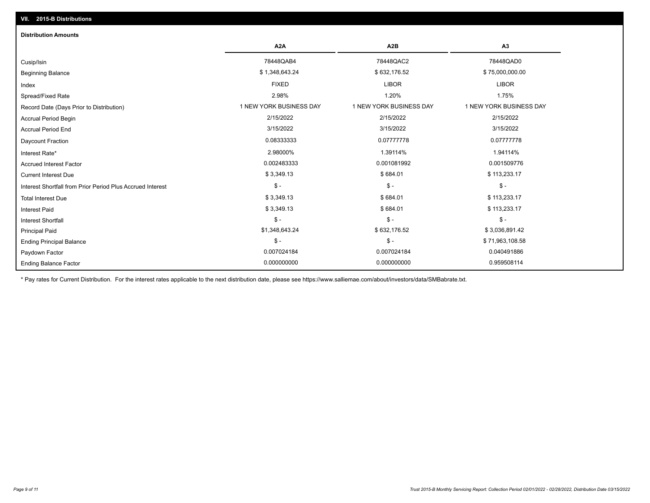| <b>Distribution Amounts</b>                                |                         |                         |                         |
|------------------------------------------------------------|-------------------------|-------------------------|-------------------------|
|                                                            | A <sub>2</sub> A        | A <sub>2</sub> B        | A3                      |
| Cusip/Isin                                                 | 78448QAB4               | 78448QAC2               | 78448QAD0               |
| <b>Beginning Balance</b>                                   | \$1,348,643.24          | \$632,176.52            | \$75,000,000.00         |
| Index                                                      | <b>FIXED</b>            | <b>LIBOR</b>            | <b>LIBOR</b>            |
| Spread/Fixed Rate                                          | 2.98%                   | 1.20%                   | 1.75%                   |
| Record Date (Days Prior to Distribution)                   | 1 NEW YORK BUSINESS DAY | 1 NEW YORK BUSINESS DAY | 1 NEW YORK BUSINESS DAY |
| <b>Accrual Period Begin</b>                                | 2/15/2022               | 2/15/2022               | 2/15/2022               |
| <b>Accrual Period End</b>                                  | 3/15/2022               | 3/15/2022               | 3/15/2022               |
| <b>Daycount Fraction</b>                                   | 0.08333333              | 0.07777778              | 0.07777778              |
| Interest Rate*                                             | 2.98000%                | 1.39114%                | 1.94114%                |
| <b>Accrued Interest Factor</b>                             | 0.002483333             | 0.001081992             | 0.001509776             |
| <b>Current Interest Due</b>                                | \$3,349.13              | \$684.01                | \$113,233.17            |
| Interest Shortfall from Prior Period Plus Accrued Interest | $\mathsf{\$}$ -         | $\mathsf{\$}$ -         | $\frac{1}{2}$           |
| <b>Total Interest Due</b>                                  | \$3,349.13              | \$684.01                | \$113,233.17            |
| <b>Interest Paid</b>                                       | \$3,349.13              | \$684.01                | \$113,233.17            |
| Interest Shortfall                                         | $\mathsf{\$}$ -         | $$ -$                   | $$ -$                   |
| <b>Principal Paid</b>                                      | \$1,348,643.24          | \$632,176.52            | \$3,036,891.42          |
| <b>Ending Principal Balance</b>                            | $\mathsf{\$}$ -         | $\mathsf{\$}$ -         | \$71,963,108.58         |
| Paydown Factor                                             | 0.007024184             | 0.007024184             | 0.040491886             |
| <b>Ending Balance Factor</b>                               | 0.000000000             | 0.000000000             | 0.959508114             |

\* Pay rates for Current Distribution. For the interest rates applicable to the next distribution date, please see https://www.salliemae.com/about/investors/data/SMBabrate.txt.

**VII. 2015-B Distributions**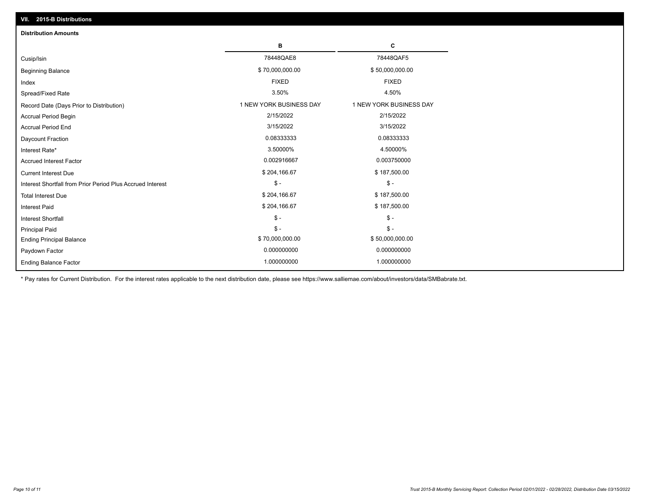| VII. 2015-B Distributions                                  |                         |                         |
|------------------------------------------------------------|-------------------------|-------------------------|
| <b>Distribution Amounts</b>                                |                         |                         |
|                                                            | в                       | С                       |
| Cusip/Isin                                                 | 78448QAE8               | 78448QAF5               |
| <b>Beginning Balance</b>                                   | \$70,000,000.00         | \$50,000,000.00         |
| Index                                                      | <b>FIXED</b>            | <b>FIXED</b>            |
| Spread/Fixed Rate                                          | 3.50%                   | 4.50%                   |
| Record Date (Days Prior to Distribution)                   | 1 NEW YORK BUSINESS DAY | 1 NEW YORK BUSINESS DAY |
| <b>Accrual Period Begin</b>                                | 2/15/2022               | 2/15/2022               |
| <b>Accrual Period End</b>                                  | 3/15/2022               | 3/15/2022               |
| Daycount Fraction                                          | 0.08333333              | 0.08333333              |
| Interest Rate*                                             | 3.50000%                | 4.50000%                |
| <b>Accrued Interest Factor</b>                             | 0.002916667             | 0.003750000             |
| <b>Current Interest Due</b>                                | \$204,166.67            | \$187,500.00            |
| Interest Shortfall from Prior Period Plus Accrued Interest | $\frac{1}{2}$           | $$ -$                   |
| <b>Total Interest Due</b>                                  | \$204,166.67            | \$187,500.00            |
| <b>Interest Paid</b>                                       | \$204,166.67            | \$187,500.00            |
| Interest Shortfall                                         | $\frac{1}{2}$           | $\frac{1}{2}$           |
| <b>Principal Paid</b>                                      | $\mathsf{\$}$ -         | $S -$                   |
| <b>Ending Principal Balance</b>                            | \$70,000,000.00         | \$50,000,000.00         |
| Paydown Factor                                             | 0.000000000             | 0.000000000             |
| <b>Ending Balance Factor</b>                               | 1.000000000             | 1.000000000             |

\* Pay rates for Current Distribution. For the interest rates applicable to the next distribution date, please see https://www.salliemae.com/about/investors/data/SMBabrate.txt.